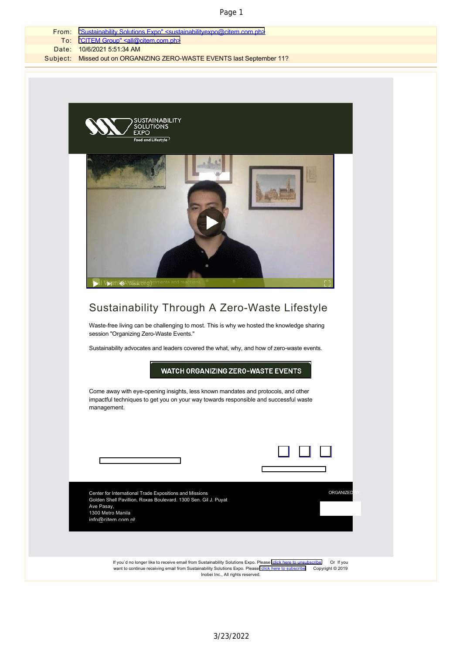|       | Page 1                                                                                              |
|-------|-----------------------------------------------------------------------------------------------------|
| From: | "Sustainability Solutions Expo" <sustainabilityexpo@citem.com.ph></sustainabilityexpo@citem.com.ph> |
| To:   | "CITEM Group" <all@citem.com.ph></all@citem.com.ph>                                                 |
| Date: | 10/6/2021 5:51:34 AM                                                                                |
|       | Subject: Missed out on ORGANIZING ZERO-WASTE EVENTS last September 11?                              |
|       |                                                                                                     |
|       |                                                                                                     |
|       |                                                                                                     |
|       |                                                                                                     |
|       | SUSTAINABILITY<br>SOLUTIONS<br>EXPO<br>Food and Lifestyle                                           |
|       |                                                                                                     |

## Sustainability Through A Zero-Waste Lifestyle

Waste-free living can be challenging to most. This is why we hosted the knowledge sharing session "Organizing Zero-Waste Events."

Sustainability advocates and leaders covered the what, why, and how of zero-waste events.

**WATCH ORGANIZING ZERO-WASTE EVENTS** 

Come away with eye-opening insights, less known mandates and protocols, and other impactful techniques to get you on your way towards responsible and successful waste management.

| Center for International Trade Expositions and Missions<br>Golden Shell Pavillion, Roxas Boulevard. 1300 Sen. Gil J. Puyat<br>Ave Pasay,<br>1300 Metro Manila<br>info@citem.com.ph                                                                        | ORGANIZED                     |
|-----------------------------------------------------------------------------------------------------------------------------------------------------------------------------------------------------------------------------------------------------------|-------------------------------|
|                                                                                                                                                                                                                                                           |                               |
| If you'd no longer like to receive email from Sustainability Solutions Expo. Please click here to unsubscribe<br>want to continue receiving email from Sustainability Solutions Expo. Please click here to subscribe<br>Inobei Inc., All rights reserved. | Or If you<br>Copyright © 2019 |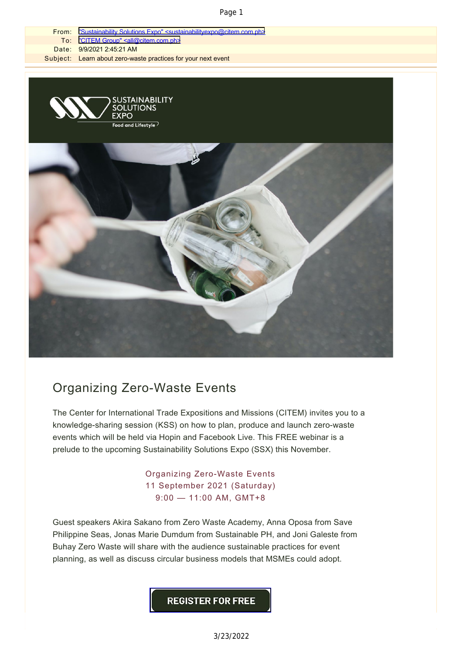## Page 1



## Organizing Zero-Waste Events

The Center for International Trade Expositions and Missions (CITEM) invites you to a knowledge-sharing session (KSS) on how to plan, produce and launch zero-waste events which will be held via Hopin and Facebook Live. This FREE webinar is a prelude to the upcoming Sustainability Solutions Expo (SSX) this November.

> Organizing Zero-Waste Events 11 September 2021 (Saturday) 9:00 — 11:00 AM, GMT+8

Guest speakers Akira Sakano from Zero Waste Academy, Anna Oposa from Save Philippine Seas, Jonas Marie Dumdum from Sustainable PH, and Joni Galeste from Buhay Zero Waste will share with the audience sustainable practices for event planning, as well as discuss circular business models that MSMEs could adopt.

**REGISTER FOR FREE**